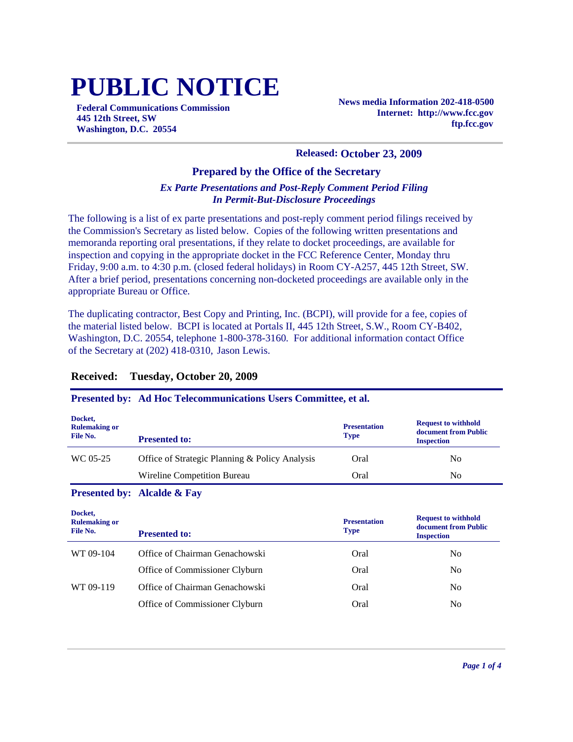# **PUBLIC NOTICE**

**Federal Communications Commission 445 12th Street, SW Washington, D.C. 20554**

**News media Information 202-418-0500 Internet: http://www.fcc.gov ftp.fcc.gov**

#### **Released: October 23, 2009**

#### **Prepared by the Office of the Secretary**

#### *Ex Parte Presentations and Post-Reply Comment Period Filing In Permit-But-Disclosure Proceedings*

The following is a list of ex parte presentations and post-reply comment period filings received by the Commission's Secretary as listed below. Copies of the following written presentations and memoranda reporting oral presentations, if they relate to docket proceedings, are available for inspection and copying in the appropriate docket in the FCC Reference Center, Monday thru Friday, 9:00 a.m. to 4:30 p.m. (closed federal holidays) in Room CY-A257, 445 12th Street, SW. After a brief period, presentations concerning non-docketed proceedings are available only in the appropriate Bureau or Office.

The duplicating contractor, Best Copy and Printing, Inc. (BCPI), will provide for a fee, copies of the material listed below. BCPI is located at Portals II, 445 12th Street, S.W., Room CY-B402, Washington, D.C. 20554, telephone 1-800-378-3160. For additional information contact Office of the Secretary at (202) 418-0310, Jason Lewis.

#### **Received: Tuesday, October 20, 2009**

#### **Presented by: Ad Hoc Telecommunications Users Committee, et al. Docket, Rulemaking or File No. Presentation Type Request to withhold document from Public Presented to: Inspection Inspection Inspection** WC 05-25 Office of Strategic Planning & Policy Analysis Oral No Wireline Competition Bureau Oral Oral No **Presented by: Alcalde & Fay Docket, Rulemaking or Presentation Request to withhold document from Public**

| <b>Presented to:</b>           | <b>Presentation</b><br><b>Type</b> | <b>Request to withhold</b><br>document from Public<br><b>Inspection</b> |
|--------------------------------|------------------------------------|-------------------------------------------------------------------------|
| Office of Chairman Genachowski | Oral                               | N <sub>0</sub>                                                          |
| Office of Commissioner Clyburn | Oral                               | N <sub>0</sub>                                                          |
| Office of Chairman Genachowski | Oral                               | N <sub>0</sub>                                                          |
| Office of Commissioner Clyburn | Oral                               | No                                                                      |
|                                |                                    |                                                                         |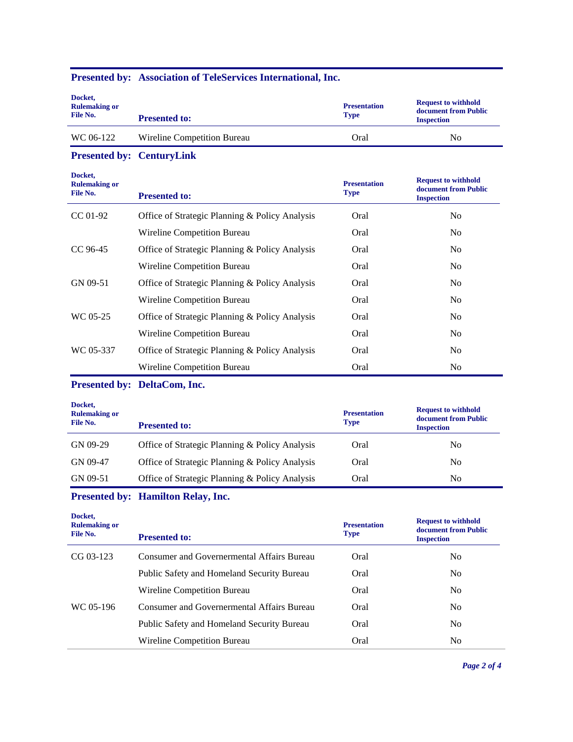#### **Presented by: Association of TeleServices International, Inc.**

| Docket,<br><b>Rulemaking or</b><br>File No. | <b>Presented to:</b>        | <b>Presentation</b><br><b>Type</b> | <b>Request to withhold</b><br>document from Public<br><b>Inspection</b> |
|---------------------------------------------|-----------------------------|------------------------------------|-------------------------------------------------------------------------|
| WC 06-122                                   | Wireline Competition Bureau | Oral                               | No                                                                      |

#### **Presented by: CenturyLink**

| Docket,<br><b>Rulemaking or</b><br>File No. | <b>Presented to:</b>                           | <b>Presentation</b><br><b>Type</b> | <b>Request to withhold</b><br>document from Public<br><b>Inspection</b> |
|---------------------------------------------|------------------------------------------------|------------------------------------|-------------------------------------------------------------------------|
| $CC 01-92$                                  | Office of Strategic Planning & Policy Analysis | Oral                               | N <sub>0</sub>                                                          |
|                                             | Wireline Competition Bureau                    | Oral                               | N <sub>o</sub>                                                          |
| CC 96-45                                    | Office of Strategic Planning & Policy Analysis | Oral                               | N <sub>0</sub>                                                          |
|                                             | Wireline Competition Bureau                    | Oral                               | N <sub>0</sub>                                                          |
| GN 09-51                                    | Office of Strategic Planning & Policy Analysis | Oral                               | N <sub>0</sub>                                                          |
|                                             | Wireline Competition Bureau                    | Oral                               | N <sub>0</sub>                                                          |
| WC 05-25                                    | Office of Strategic Planning & Policy Analysis | Oral                               | N <sub>0</sub>                                                          |
|                                             | Wireline Competition Bureau                    | Oral                               | N <sub>0</sub>                                                          |
| WC 05-337                                   | Office of Strategic Planning & Policy Analysis | Oral                               | N <sub>0</sub>                                                          |
|                                             | Wireline Competition Bureau                    | Oral                               | N <sub>0</sub>                                                          |

#### **Presented by: DeltaCom, Inc.**

| Docket,<br><b>Rulemaking or</b><br>File No. | <b>Presented to:</b>                           | <b>Presentation</b><br><b>Type</b> | <b>Request to withhold</b><br>document from Public<br><b>Inspection</b> |
|---------------------------------------------|------------------------------------------------|------------------------------------|-------------------------------------------------------------------------|
| GN 09-29                                    | Office of Strategic Planning & Policy Analysis | Oral                               | N <sub>0</sub>                                                          |
| GN 09-47                                    | Office of Strategic Planning & Policy Analysis | Oral                               | No                                                                      |
| GN 09-51                                    | Office of Strategic Planning & Policy Analysis | Oral                               | No                                                                      |

#### **Presented by: Hamilton Relay, Inc.**

| Docket,<br><b>Rulemaking or</b><br>File No. | <b>Presented to:</b>                              | <b>Presentation</b><br><b>Type</b> | <b>Request to withhold</b><br>document from Public<br><b>Inspection</b> |
|---------------------------------------------|---------------------------------------------------|------------------------------------|-------------------------------------------------------------------------|
| $CG 03-123$                                 | <b>Consumer and Governermental Affairs Bureau</b> | Oral                               | No.                                                                     |
|                                             | Public Safety and Homeland Security Bureau        | Oral                               | No.                                                                     |
|                                             | Wireline Competition Bureau                       | Oral                               | N <sub>0</sub>                                                          |
| WC 05-196                                   | <b>Consumer and Governermental Affairs Bureau</b> | Oral                               | No.                                                                     |
|                                             | Public Safety and Homeland Security Bureau        | Oral                               | N <sub>0</sub>                                                          |
|                                             | Wireline Competition Bureau                       | Oral                               | N <sub>0</sub>                                                          |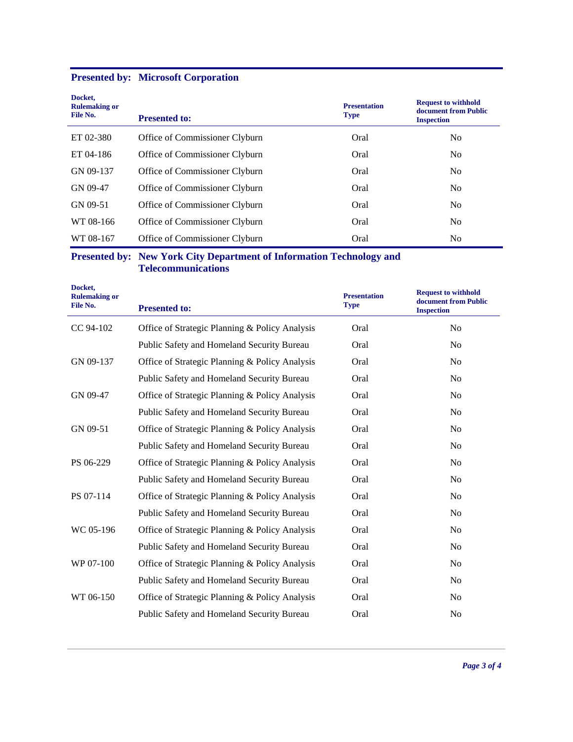|  |  |  | <b>Presented by: Microsoft Corporation</b> |  |  |
|--|--|--|--------------------------------------------|--|--|
|--|--|--|--------------------------------------------|--|--|

| Docket,<br><b>Rulemaking or</b><br>File No. | <b>Presented to:</b>           | <b>Presentation</b><br><b>Type</b> | <b>Request to withhold</b><br>document from Public<br><b>Inspection</b> |
|---------------------------------------------|--------------------------------|------------------------------------|-------------------------------------------------------------------------|
| ET 02-380                                   | Office of Commissioner Clyburn | Oral                               | N <sub>0</sub>                                                          |
| ET 04-186                                   | Office of Commissioner Clyburn | Oral                               | No.                                                                     |
| GN 09-137                                   | Office of Commissioner Clyburn | Oral                               | N <sub>0</sub>                                                          |
| GN 09-47                                    | Office of Commissioner Clyburn | Oral                               | N <sub>0</sub>                                                          |
| GN 09-51                                    | Office of Commissioner Clyburn | Oral                               | N <sub>0</sub>                                                          |
| WT 08-166                                   | Office of Commissioner Clyburn | Oral                               | N <sub>0</sub>                                                          |
| WT 08-167                                   | Office of Commissioner Clyburn | Oral                               | N <sub>0</sub>                                                          |

#### **Presented by: New York City Department of Information Technology and Telecommunications**

| Docket,<br><b>Rulemaking or</b><br>File No. | <b>Presented to:</b>                           | <b>Presentation</b><br><b>Type</b> | <b>Request to withhold</b><br>document from Public<br><b>Inspection</b> |
|---------------------------------------------|------------------------------------------------|------------------------------------|-------------------------------------------------------------------------|
| CC 94-102                                   | Office of Strategic Planning & Policy Analysis | Oral                               | N <sub>o</sub>                                                          |
|                                             | Public Safety and Homeland Security Bureau     | Oral                               | N <sub>o</sub>                                                          |
| GN 09-137                                   | Office of Strategic Planning & Policy Analysis | Oral                               | No                                                                      |
|                                             | Public Safety and Homeland Security Bureau     | Oral                               | N <sub>o</sub>                                                          |
| GN 09-47                                    | Office of Strategic Planning & Policy Analysis | Oral                               | N <sub>o</sub>                                                          |
|                                             | Public Safety and Homeland Security Bureau     | Oral                               | N <sub>o</sub>                                                          |
| GN 09-51                                    | Office of Strategic Planning & Policy Analysis | Oral                               | N <sub>o</sub>                                                          |
|                                             | Public Safety and Homeland Security Bureau     | Oral                               | N <sub>o</sub>                                                          |
| PS 06-229                                   | Office of Strategic Planning & Policy Analysis | Oral                               | No                                                                      |
|                                             | Public Safety and Homeland Security Bureau     | Oral                               | No                                                                      |
| PS 07-114                                   | Office of Strategic Planning & Policy Analysis | Oral                               | N <sub>o</sub>                                                          |
|                                             | Public Safety and Homeland Security Bureau     | Oral                               | No                                                                      |
| WC 05-196                                   | Office of Strategic Planning & Policy Analysis | Oral                               | N <sub>0</sub>                                                          |
|                                             | Public Safety and Homeland Security Bureau     | Oral                               | No                                                                      |
| WP 07-100                                   | Office of Strategic Planning & Policy Analysis | Oral                               | N <sub>0</sub>                                                          |
|                                             | Public Safety and Homeland Security Bureau     | Oral                               | No                                                                      |
| WT 06-150                                   | Office of Strategic Planning & Policy Analysis | Oral                               | N <sub>0</sub>                                                          |
|                                             | Public Safety and Homeland Security Bureau     | Oral                               | No                                                                      |
|                                             |                                                |                                    |                                                                         |